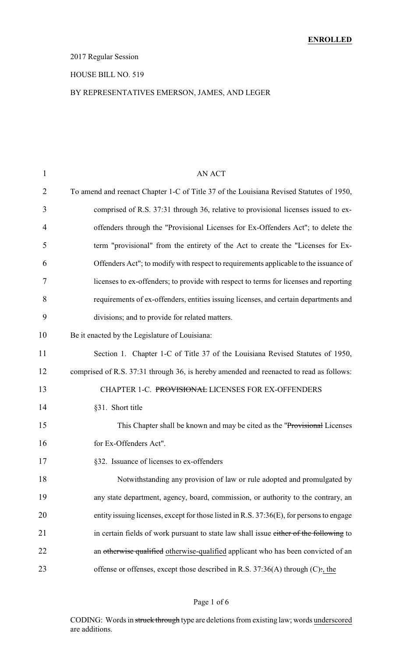### 2017 Regular Session

#### HOUSE BILL NO. 519

### BY REPRESENTATIVES EMERSON, JAMES, AND LEGER

| <b>AN ACT</b>                                                                            |
|------------------------------------------------------------------------------------------|
| To amend and reenact Chapter 1-C of Title 37 of the Louisiana Revised Statutes of 1950,  |
| comprised of R.S. 37:31 through 36, relative to provisional licenses issued to ex-       |
| offenders through the "Provisional Licenses for Ex-Offenders Act"; to delete the         |
| term "provisional" from the entirety of the Act to create the "Licenses for Ex-          |
| Offenders Act"; to modify with respect to requirements applicable to the issuance of     |
| licenses to ex-offenders; to provide with respect to terms for licenses and reporting    |
| requirements of ex-offenders, entities issuing licenses, and certain departments and     |
| divisions; and to provide for related matters.                                           |
| Be it enacted by the Legislature of Louisiana:                                           |
| Section 1. Chapter 1-C of Title 37 of the Louisiana Revised Statutes of 1950,            |
| comprised of R.S. 37:31 through 36, is hereby amended and reenacted to read as follows:  |
| CHAPTER 1-C. PROVISIONAL LICENSES FOR EX-OFFENDERS                                       |
| §31. Short title                                                                         |
| This Chapter shall be known and may be cited as the "Provisional Licenses"               |
| for Ex-Offenders Act".                                                                   |
| §32. Issuance of licenses to ex-offenders                                                |
| Notwithstanding any provision of law or rule adopted and promulgated by                  |
| any state department, agency, board, commission, or authority to the contrary, an        |
| entity issuing licenses, except for those listed in R.S. 37:36(E), for persons to engage |
| in certain fields of work pursuant to state law shall issue either of the following to   |
| an otherwise qualified otherwise-qualified applicant who has been convicted of an        |
| offense or offenses, except those described in R.S. $37:36(A)$ through (C):, the         |
|                                                                                          |

### Page 1 of 6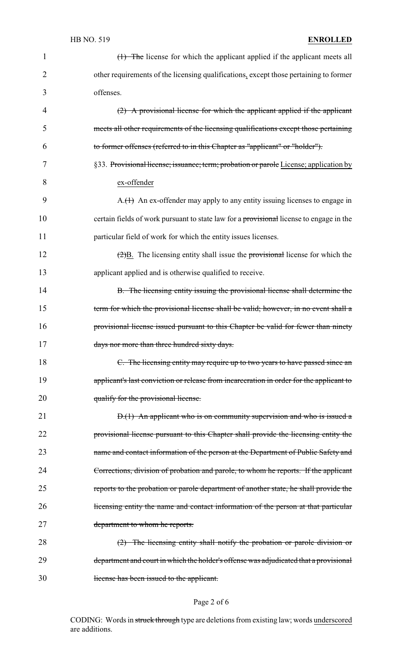### HB NO. 519 **ENROLLED**

| $\mathbf{1}$ | (1) The license for which the applicant applied if the applicant meets all                           |
|--------------|------------------------------------------------------------------------------------------------------|
| 2            | other requirements of the licensing qualifications, except those pertaining to former                |
| 3            | offenses.                                                                                            |
| 4            | $(2)$ A provisional license for which the applicant applied if the applicant                         |
| 5            | meets all other requirements of the licensing qualifications except those pertaining                 |
| 6            | to former offenses (referred to in this Chapter as "applicant" or "holder").                         |
| 7            | §33. Provisional license; issuance; term; probation or parole License; application by                |
| 8            | ex-offender                                                                                          |
| 9            | $A.(1)$ An ex-offender may apply to any entity issuing licenses to engage in                         |
| 10           | certain fields of work pursuant to state law for a provisional license to engage in the              |
| 11           | particular field of work for which the entity issues licenses.                                       |
| 12           | $\left(\frac{2}{2}\right)B$ . The licensing entity shall issue the provisional license for which the |
| 13           | applicant applied and is otherwise qualified to receive.                                             |
| 14           | B. The licensing entity issuing the provisional license shall determine the                          |
| 15           | term for which the provisional license shall be valid; however, in no event shall a                  |
| 16           | provisional license issued pursuant to this Chapter be valid for fewer than ninety                   |
| 17           | days nor more than three hundred sixty days.                                                         |
| 18           | C. The licensing entity may require up to two years to have passed since an                          |
| 19           | applicant's last conviction or release from incarceration in order for the applicant to              |
| 20           | qualify for the provisional license.                                                                 |
| 21           | $D(1)$ An applicant who is on community supervision and who is issued a                              |
| 22           | provisional license pursuant to this Chapter shall provide the licensing entity the                  |
| 23           | name and contact information of the person at the Department of Public Safety and                    |
| 24           | Corrections, division of probation and parole, to whom he reports. If the applicant                  |
| 25           | reports to the probation or parole department of another state, he shall provide the                 |
| 26           | licensing entity the name and contact information of the person at that particular                   |
| 27           | department to whom he reports.                                                                       |
| 28           | $(2)$ The licensing entity shall notify the probation or parole division or                          |
| 29           | department and court in which the holder's offense was adjudicated that a provisional                |
| 30           | license has been issued to the applicant.                                                            |

# Page 2 of 6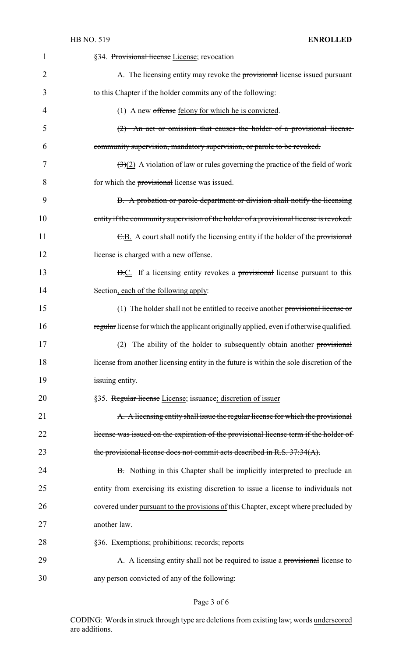| $\mathbf{1}$ | §34. Provisional license License; revocation                                                       |
|--------------|----------------------------------------------------------------------------------------------------|
| 2            | A. The licensing entity may revoke the provisional license issued pursuant                         |
| 3            | to this Chapter if the holder commits any of the following:                                        |
| 4            | (1) A new offense felony for which he is convicted.                                                |
| 5            | $(2)$ An act or omission that causes the holder of a provisional license                           |
| 6            | community supervision, mandatory supervision, or parole to be revoked.                             |
| 7            | $\left(\frac{3}{2}\right)$ A violation of law or rules governing the practice of the field of work |
| 8            | for which the provisional license was issued.                                                      |
| 9            | B. A probation or parole department or division shall notify the licensing                         |
| 10           | entity if the community supervision of the holder of a provisional license is revoked.             |
| 11           | E.B. A court shall notify the licensing entity if the holder of the provisional                    |
| 12           | license is charged with a new offense.                                                             |
| 13           | <b>D.C.</b> If a licensing entity revokes a provisional license pursuant to this                   |
| 14           | Section, each of the following apply:                                                              |
| 15           | (1) The holder shall not be entitled to receive another provisional license or                     |
| 16           | regular license for which the applicant originally applied, even if otherwise qualified.           |
| 17           | (2) The ability of the holder to subsequently obtain another provisional                           |
| 18           | license from another licensing entity in the future is within the sole discretion of the           |
| 19           | issuing entity.                                                                                    |
| 20           | §35. Regular license License; issuance; discretion of issuer                                       |
| 21           | A. A licensing entity shall issue the regular license for which the provisional                    |
| 22           | license was issued on the expiration of the provisional license term if the holder of              |
| 23           | the provisional license does not commit acts described in R.S. 37:34(A).                           |
| 24           | <b>B.</b> Nothing in this Chapter shall be implicitly interpreted to preclude an                   |
| 25           | entity from exercising its existing discretion to issue a license to individuals not               |
| 26           | covered under pursuant to the provisions of this Chapter, except where precluded by                |
| 27           | another law.                                                                                       |
| 28           | §36. Exemptions; prohibitions; records; reports                                                    |
| 29           | A. A licensing entity shall not be required to issue a provisional license to                      |
| 30           | any person convicted of any of the following:                                                      |

# Page 3 of 6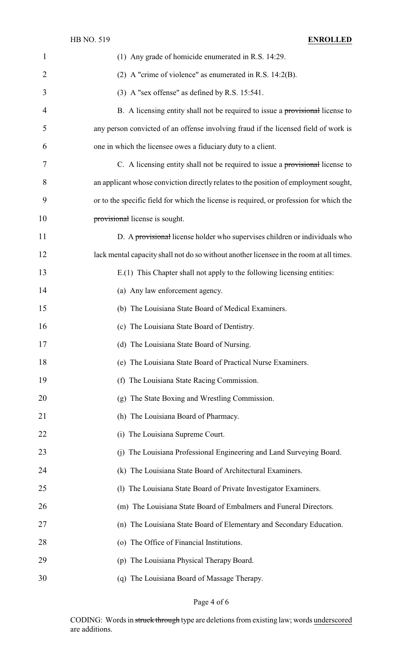| $\mathbf{1}$   | (1) Any grade of homicide enumerated in R.S. 14:29.                                     |
|----------------|-----------------------------------------------------------------------------------------|
| $\overline{2}$ | (2) A "crime of violence" as enumerated in R.S. $14:2(B)$ .                             |
| 3              | $(3)$ A "sex offense" as defined by R.S. 15:541.                                        |
| 4              | B. A licensing entity shall not be required to issue a provisional license to           |
| 5              | any person convicted of an offense involving fraud if the licensed field of work is     |
| 6              | one in which the licensee owes a fiduciary duty to a client.                            |
| 7              | C. A licensing entity shall not be required to issue a provisional license to           |
| 8              | an applicant whose conviction directly relates to the position of employment sought,    |
| 9              | or to the specific field for which the license is required, or profession for which the |
| 10             | provisional license is sought.                                                          |
| 11             | D. A provisional license holder who supervises children or individuals who              |
| 12             | lack mental capacity shall not do so without another licensee in the room at all times. |
| 13             | E.(1) This Chapter shall not apply to the following licensing entities:                 |
| 14             | (a) Any law enforcement agency.                                                         |
| 15             | (b) The Louisiana State Board of Medical Examiners.                                     |
| 16             | (c) The Louisiana State Board of Dentistry.                                             |
| 17             | (d) The Louisiana State Board of Nursing.                                               |
| 18             | (e) The Louisiana State Board of Practical Nurse Examiners.                             |
| 19             | (f) The Louisiana State Racing Commission.                                              |
| 20             | (g) The State Boxing and Wrestling Commission.                                          |
| 21             | (h) The Louisiana Board of Pharmacy.                                                    |
| 22             | The Louisiana Supreme Court.<br>(i)                                                     |
| 23             | The Louisiana Professional Engineering and Land Surveying Board.<br>(i)                 |
| 24             | (k) The Louisiana State Board of Architectural Examiners.                               |
| 25             | The Louisiana State Board of Private Investigator Examiners.<br>(1)                     |
| 26             | (m) The Louisiana State Board of Embalmers and Funeral Directors.                       |
| 27             | (n) The Louisiana State Board of Elementary and Secondary Education.                    |
| 28             | (o) The Office of Financial Institutions.                                               |
| 29             | (p) The Louisiana Physical Therapy Board.                                               |
| 30             | (q) The Louisiana Board of Massage Therapy.                                             |

Page 4 of 6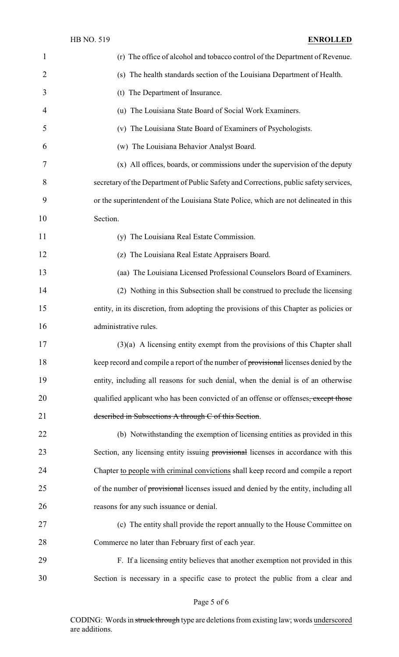| 1  | (r) The office of alcohol and tobacco control of the Department of Revenue.               |
|----|-------------------------------------------------------------------------------------------|
| 2  | (s) The health standards section of the Louisiana Department of Health.                   |
| 3  | (t) The Department of Insurance.                                                          |
| 4  | (u) The Louisiana State Board of Social Work Examiners.                                   |
| 5  | (v) The Louisiana State Board of Examiners of Psychologists.                              |
| 6  | (w) The Louisiana Behavior Analyst Board.                                                 |
| 7  | (x) All offices, boards, or commissions under the supervision of the deputy               |
| 8  | secretary of the Department of Public Safety and Corrections, public safety services,     |
| 9  | or the superintendent of the Louisiana State Police, which are not delineated in this     |
| 10 | Section.                                                                                  |
| 11 | (y) The Louisiana Real Estate Commission.                                                 |
| 12 | (z) The Louisiana Real Estate Appraisers Board.                                           |
| 13 | (aa) The Louisiana Licensed Professional Counselors Board of Examiners.                   |
| 14 | (2) Nothing in this Subsection shall be construed to preclude the licensing               |
| 15 | entity, in its discretion, from adopting the provisions of this Chapter as policies or    |
| 16 | administrative rules.                                                                     |
| 17 | $(3)(a)$ A licensing entity exempt from the provisions of this Chapter shall              |
| 18 | keep record and compile a report of the number of provisional licenses denied by the      |
| 19 | entity, including all reasons for such denial, when the denial is of an otherwise         |
| 20 | qualified applicant who has been convicted of an offense or offenses, except those        |
| 21 | described in Subsections A through C of this Section.                                     |
| 22 | (b) Notwithstanding the exemption of licensing entities as provided in this               |
| 23 | Section, any licensing entity issuing <b>provisional</b> licenses in accordance with this |
| 24 | Chapter to people with criminal convictions shall keep record and compile a report        |
| 25 | of the number of provisional licenses issued and denied by the entity, including all      |
| 26 | reasons for any such issuance or denial.                                                  |
| 27 | (c) The entity shall provide the report annually to the House Committee on                |
| 28 | Commerce no later than February first of each year.                                       |
| 29 | F. If a licensing entity believes that another exemption not provided in this             |
| 30 | Section is necessary in a specific case to protect the public from a clear and            |